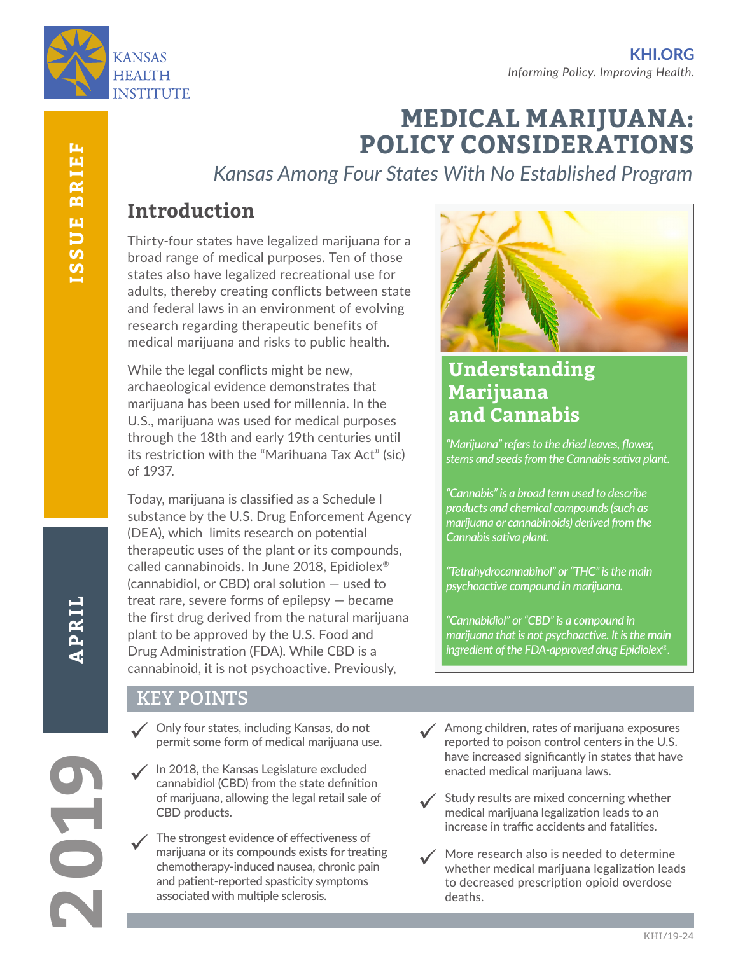

# **MEDICAL MARIJUANA: POLICY CONSIDERATIONS**

*Kansas Among Four States With No Established Program*

# **Introduction**

Thirty-four states have legalized marijuana for a broad range of medical purposes. Ten of those states also have legalized recreational use for adults, thereby creating conflicts between state and federal laws in an environment of evolving research regarding therapeutic benefits of medical marijuana and risks to public health.

While the legal conflicts might be new, archaeological evidence demonstrates that marijuana has been used for millennia. In the U.S., marijuana was used for medical purposes through the 18th and early 19th centuries until its restriction with the "Marihuana Tax Act" (sic) of 1937.

Today, marijuana is classified as a Schedule I substance by the U.S. Drug Enforcement Agency (DEA), which limits research on potential therapeutic uses of the plant or its compounds, called cannabinoids. In June 2018, Epidiolex® (cannabidiol, or CBD) oral solution — used to treat rare, severe forms of epilepsy — became the first drug derived from the natural marijuana plant to be approved by the U.S. Food and Drug Administration (FDA). While CBD is a cannabinoid, it is not psychoactive. Previously,

#### KEY POINTS

- Only four states, including Kansas, do not permit some form of medical marijuana use.
- $\checkmark$ In 2018, the Kansas Legislature excluded cannabidiol (CBD) from the state definition of marijuana, allowing the legal retail sale of CBD products.
- The strongest evidence of effectiveness of marijuana or its compounds exists for treating chemotherapy-induced nausea, chronic pain and patient-reported spasticity symptoms associated with multiple sclerosis.  $\checkmark$



# **Understanding Marijuana and Cannabis**

*"Marijuana" refers to the dried leaves, flower, stems and seeds from the Cannabis sativa plant.* 

*"Cannabis" is a broad term used to describe products and chemical compounds (such as marijuana or cannabinoids) derived from the Cannabis sativa plant.*

*"Tetrahydrocannabinol" or "THC" is the main psychoactive compound in marijuana.*

*"Cannabidiol" or "CBD" is a compound in marijuana that is not psychoactive. It is the main ingredient of the FDA-approved drug Epidiolex®.*

- Among children, rates of marijuana exposures reported to poison control centers in the U.S. have increased significantly in states that have enacted medical marijuana laws.  $\checkmark$
- Study results are mixed concerning whether medical marijuana legalization leads to an increase in traffic accidents and fatalities.  $\checkmark$
- More research also is needed to determine whether medical marijuana legalization leads to decreased prescription opioid overdose deaths.  $\checkmark$

**2019**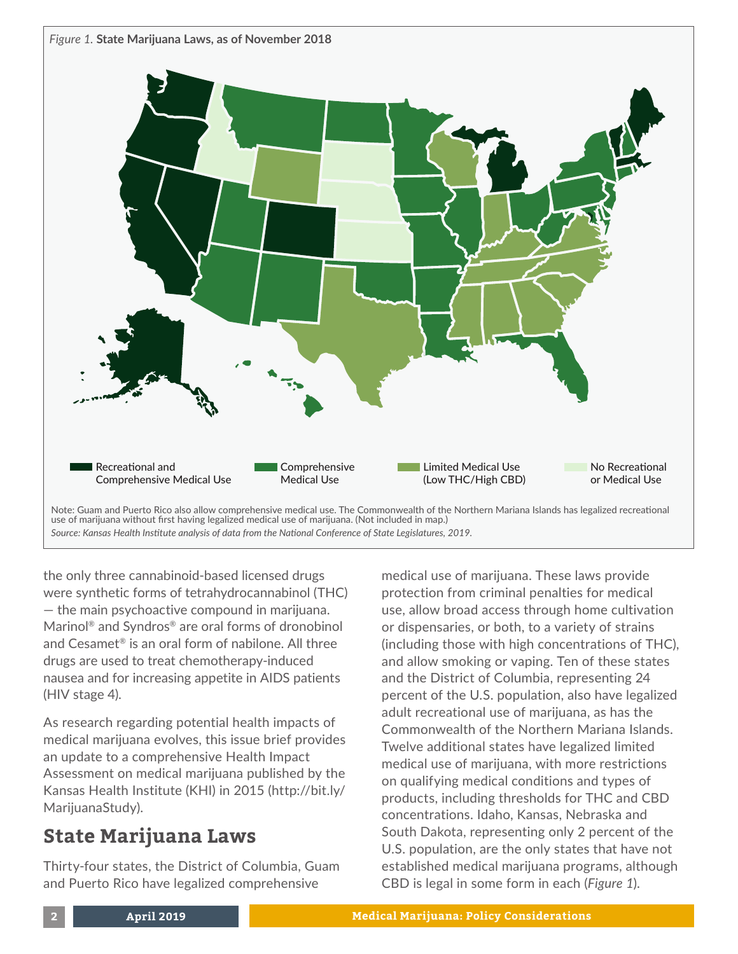

use of marijuana without first having legalized medical use of marijuana. (Not included in map.)

*Source: Kansas Health Institute analysis of data from the National Conference of State Legislatures, 2019.*

the only three cannabinoid-based licensed drugs were synthetic forms of tetrahydrocannabinol (THC) — the main psychoactive compound in marijuana. Marinol® and Syndros® are oral forms of dronobinol and Cesamet® is an oral form of nabilone. All three drugs are used to treat chemotherapy-induced nausea and for increasing appetite in AIDS patients (HIV stage 4).

As research regarding potential health impacts of medical marijuana evolves, this issue brief provides an update to a comprehensive Health Impact Assessment on medical marijuana published by the Kansas Health Institute (KHI) in 2015 [\(http://bit.ly/](http://bit.ly/MarijuanaStudy) [MarijuanaStudy\).](http://bit.ly/MarijuanaStudy)

# **State Marijuana Laws**

Thirty-four states, the District of Columbia, Guam and Puerto Rico have legalized comprehensive

medical use of marijuana. These laws provide protection from criminal penalties for medical use, allow broad access through home cultivation or dispensaries, or both, to a variety of strains (including those with high concentrations of THC), and allow smoking or vaping. Ten of these states and the District of Columbia, representing 24 percent of the U.S. population, also have legalized adult recreational use of marijuana, as has the Commonwealth of the Northern Mariana Islands. Twelve additional states have legalized limited medical use of marijuana, with more restrictions on qualifying medical conditions and types of products, including thresholds for THC and CBD concentrations. Idaho, Kansas, Nebraska and South Dakota, representing only 2 percent of the U.S. population, are the only states that have not established medical marijuana programs, although CBD is legal in some form in each (*Figure 1*).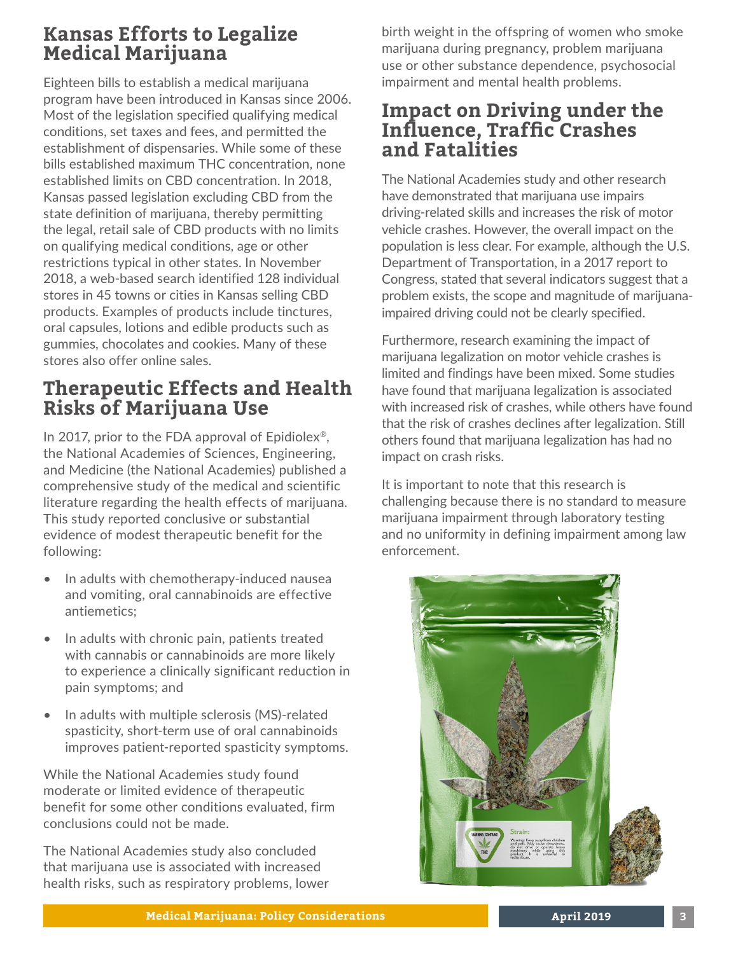## **Kansas Efforts to Legalize Medical Marijuana**

Eighteen bills to establish a medical marijuana program have been introduced in Kansas since 2006. Most of the legislation specified qualifying medical conditions, set taxes and fees, and permitted the establishment of dispensaries. While some of these bills established maximum THC concentration, none established limits on CBD concentration. In 2018, Kansas passed legislation excluding CBD from the state definition of marijuana, thereby permitting the legal, retail sale of CBD products with no limits on qualifying medical conditions, age or other restrictions typical in other states. In November 2018, a web-based search identified 128 individual stores in 45 towns or cities in Kansas selling CBD products. Examples of products include tinctures, oral capsules, lotions and edible products such as gummies, chocolates and cookies. Many of these stores also offer online sales.

### **Therapeutic Effects and Health Risks of Marijuana Use**

In 2017, prior to the FDA approval of Epidiolex®, the National Academies of Sciences, Engineering, and Medicine (the National Academies) published a comprehensive study of the medical and scientific literature regarding the health effects of marijuana. This study reported conclusive or substantial evidence of modest therapeutic benefit for the following:

- In adults with chemotherapy-induced nausea and vomiting, oral cannabinoids are effective antiemetics;
- In adults with chronic pain, patients treated with cannabis or cannabinoids are more likely to experience a clinically significant reduction in pain symptoms; and
- In adults with multiple sclerosis (MS)-related spasticity, short-term use of oral cannabinoids improves patient-reported spasticity symptoms.

While the National Academies study found moderate or limited evidence of therapeutic benefit for some other conditions evaluated, firm conclusions could not be made.

The National Academies study also concluded that marijuana use is associated with increased health risks, such as respiratory problems, lower birth weight in the offspring of women who smoke marijuana during pregnancy, problem marijuana use or other substance dependence, psychosocial impairment and mental health problems.

### **Impact on Driving under the Influence, Traffic Crashes and Fatalities**

The National Academies study and other research have demonstrated that marijuana use impairs driving-related skills and increases the risk of motor vehicle crashes. However, the overall impact on the population is less clear. For example, although the U.S. Department of Transportation, in a 2017 report to Congress, stated that several indicators suggest that a problem exists, the scope and magnitude of marijuanaimpaired driving could not be clearly specified.

Furthermore, research examining the impact of marijuana legalization on motor vehicle crashes is limited and findings have been mixed. Some studies have found that marijuana legalization is associated with increased risk of crashes, while others have found that the risk of crashes declines after legalization. Still others found that marijuana legalization has had no impact on crash risks.

It is important to note that this research is challenging because there is no standard to measure marijuana impairment through laboratory testing and no uniformity in defining impairment among law enforcement.